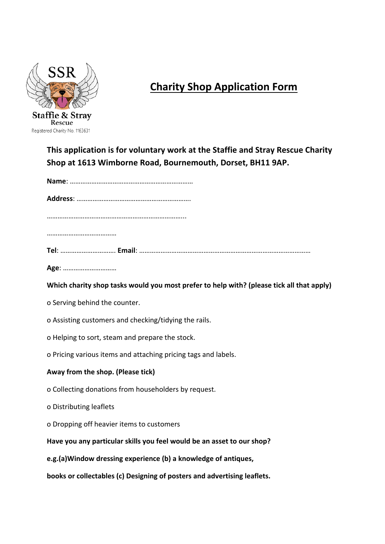

## **Charity Shop Application Form**

This application is for voluntary work at the Staffie and Stray Rescue Charity Shop at 1613 Wimborne Road, Bournemouth, Dorset, BH11 9AP.

**Name**: …………………………………………………………… **Address**: ………………………………………………………. ……………………………………………………………………………… ……………………………………

**Tel**: …………………………. **Email**: ……………………………………………………………………………………

**Age**: ………………………… 

Which charity shop tasks would you most prefer to help with? (please tick all that apply)

o Serving behind the counter.

o Assisting customers and checking/tidying the rails.

o Helping to sort, steam and prepare the stock.

o Pricing various items and attaching pricing tags and labels.

## Away from the shop. (Please tick)

o Collecting donations from householders by request.

o Distributing leaflets

o Dropping off heavier items to customers

Have you any particular skills you feel would be an asset to our shop?

**e.g.(a)Window dressing experience (b) a knowledge of antiques,**

books or collectables (c) Designing of posters and advertising leaflets.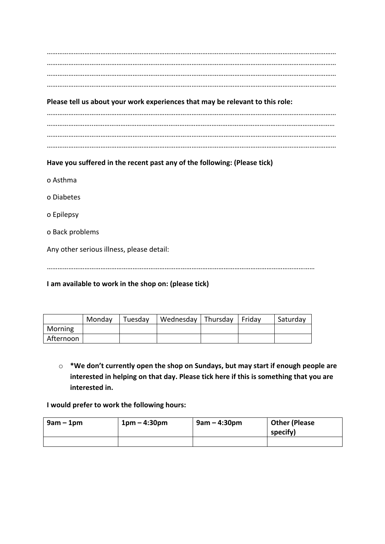## Please tell us about your work experiences that may be relevant to this role:

……………………………………………………………………………………………………………………………………………… ……………………..……………………………………………………………………………………………………………………… ……………………………………………………………………………………………………………………………………………… ………………………………………………………………………………………………………………………………………………

Have you suffered in the recent past any of the following: (Please tick)

- o Asthma
- o Diabetes
- o Epilepsy
- o Back problems

Any other serious illness, please detail:

……………………………………………………………………………………………………………………………………

**I** am available to work in the shop on: (please tick)

|           | Monday | Tuesday | Wednesday   Thursday   Friday |  | Saturday |
|-----------|--------|---------|-------------------------------|--|----------|
| Morning   |        |         |                               |  |          |
| Afternoon |        |         |                               |  |          |

 $\circ$  \*We don't currently open the shop on Sundays, but may start if enough people are interested in helping on that day. Please tick here if this is something that you are **interested** in.

**I** would prefer to work the following hours:

| $9am - 1pm$ | $1pm - 4:30pm$ | $9am - 4:30pm$ | <b>Other (Please</b><br>specify) |
|-------------|----------------|----------------|----------------------------------|
|             |                |                |                                  |